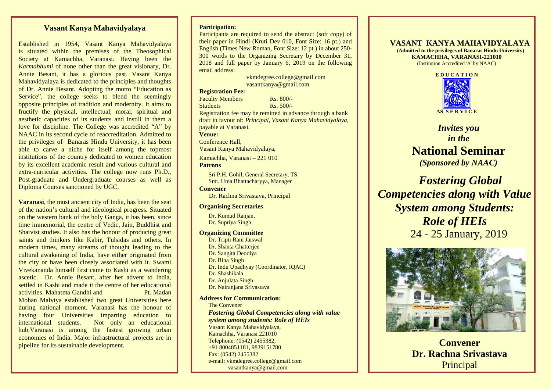# **Vasant Kanya Mahavidyalaya**

Established in 1954, Vasant Kanya Mahavidyalaya is situated within the premises of the Theosophical Society at Kamachha, Varanasi. Having been the *Karmabhumi* of none other than the great visionary, Dr. Annie Besant, it has a glorious past. Vasant Kanya Mahavidyalaya is dedicated to the principles and thoughts of Dr. Annie Besant. Adopting the motto "Education as Service", the college seeks to blend the seemingly opposite principles of tradition and modernity. It aims to fructify the physical, intellectual, moral, spiritual and aesthetic capacities of its students and instill in them a love for discipline. The College was accredited "A" by NAAC in its second cycle of reaccreditation. Admitted to the privileges of Banaras Hindu University, it has been able to carve a niche for itself among the topmost institutions of the country dedicated to women education by its excellent academic result and various cultural and extra-curricular activities. The college now runs Ph.D., Post-graduate and Undergraduate courses as well as Diploma Courses sanctioned by UGC.

**Varanasi**, the most ancient city of India, has been the seat of the nation's cultural and ideological progress. Situated on the western bank of the holy Ganga, it has been, since time immemorial, the centre of Vedic, Jain, Buddhist and Shaivist studies. It also has the honour of producing great saints and thinkers like Kabir, Tulsidas and others. In modern times, many streams of thought leading to the cultural awakening of India, have either originated from the city or have been closely associated with it. Swami Vivekananda himself first came to Kashi as a wandering ascetic. Dr. Annie Besant, after her advent to India, settled in Kashi and made it the centre of her educational activities. Mahatma Gandhi and Pt. Madan Mohan Malviya established two great Universities here during national moment. Varanasi has the honour of having four Universities imparting education to international students. Not only an educational hub,Varanasi is among the fastest growing urban economies of India. Major infrastructural projects are in pipeline for its sustainable development.

#### **Participation:**

Participants are required to send the abstract (soft copy) of their paper in Hindi (Kruti Dev 010, Font Size: 16 pt.) and English (Times New Roman, Font Size: 12 pt.) in about 250- 300 words to the Organizing Secretary by December 31, 2018 and full paper by January 6, 2019 on the following email address:

> vkmdegree.college@gmail.com vasantkanya@gmail.com

#### **Registration Fee:**

Faculty Members Rs. 800/-Students Rs. 500/-Registration fee may be remitted in advance through a bank draft in favour of: *Principal, Vasant Kanya Mahavidyalaya,* payable at Varanasi. **Venue:** Conference Hall,

Vasant Kanya Mahavidyalaya,

Kamachha, Varanasi – 221 010 **Patrons**

Sri P.H. Gohil, General Secretary, TS Smt. Uma Bhattacharyya, Manager

**Convener** Dr. Rachna Srivastava, Principal

### **Organising Secretaries**

Dr. Kumud Ranjan, Dr. Supriya Singh

#### **Organizing Committee**

Dr. Tripti Rani Jaiswal Dr. Shanta Chatterjee Dr. Sangita Deodiya Dr. Bina Singh Dr. Indu Upadhyay (Coordinator, IQAC) Dr. Shashikala Dr. Anjulata Singh Dr. Nairanjana Srivastava

#### **Address for Communication:**

The Convener *Fostering Global Competencies along with value system among students: Role of HEIs* Vasant Kanya Mahavidyalaya, Kamachha, Varanasi 221010 Telephone: (0542) 2455382, +91 8004851181, 9839151780 Fax: (0542) 2455382 e-mail: vkmdegree.college@gmail.com vasantkanya@gmail.com

# **VASANT KANYA MAHAVIDYALAYA (Admitted to the privileges of Banaras Hindu University)**

**KAMACHHA, VARANASI-221010** (Institution Accredited 'A' by NAAC)



*Invites you in the* **National Seminar**  *(Sponsored by NAAC)*

 *Fostering Global Competencies along with Value System among Students: Role of HEIs* 24 - 25 January, 2019



**Convener Dr. Rachna Srivastava** Principal